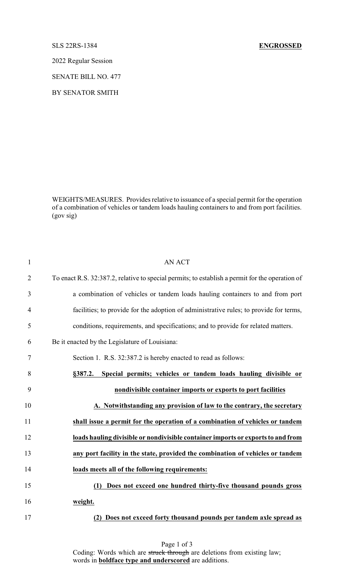## SLS 22RS-1384 **ENGROSSED**

2022 Regular Session

SENATE BILL NO. 477

BY SENATOR SMITH

WEIGHTS/MEASURES. Provides relative to issuance of a special permit for the operation of a combination of vehicles or tandem loads hauling containers to and from port facilities. (gov sig)

| $\mathbf{1}$   | <b>AN ACT</b>                                                                                   |
|----------------|-------------------------------------------------------------------------------------------------|
| $\overline{2}$ | To enact R.S. 32:387.2, relative to special permits; to establish a permit for the operation of |
| 3              | a combination of vehicles or tandem loads hauling containers to and from port                   |
| $\overline{4}$ | facilities; to provide for the adoption of administrative rules; to provide for terms,          |
| 5              | conditions, requirements, and specifications; and to provide for related matters.               |
| 6              | Be it enacted by the Legislature of Louisiana:                                                  |
| 7              | Section 1. R.S. 32:387.2 is hereby enacted to read as follows:                                  |
| 8              | Special permits; vehicles or tandem loads hauling divisible or<br>§387.2.                       |
| 9              | nondivisible container imports or exports to port facilities                                    |
| 10             | A. Notwithstanding any provision of law to the contrary, the secretary                          |
| 11             | shall issue a permit for the operation of a combination of vehicles or tandem                   |
| 12             | loads hauling divisible or nondivisible container imports or exports to and from                |
| 13             | any port facility in the state, provided the combination of vehicles or tandem                  |
| 14             | loads meets all of the following requirements:                                                  |
| 15             | Does not exceed one hundred thirty-five thousand pounds gross<br>(1)                            |
| 16             | weight.                                                                                         |
| 17             | (2) Does not exceed forty thousand pounds per tandem axle spread as                             |

Page 1 of 3 Coding: Words which are struck through are deletions from existing law; words in **boldface type and underscored** are additions.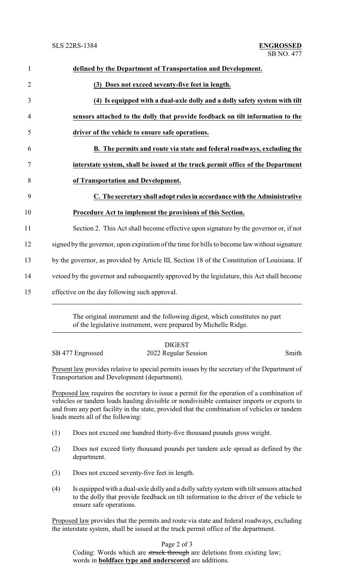| $\mathbf{1}$   | defined by the Department of Transportation and Development.                                  |
|----------------|-----------------------------------------------------------------------------------------------|
| $\overline{2}$ | (3) Does not exceed seventy-five feet in length.                                              |
| 3              | (4) Is equipped with a dual-axle dolly and a dolly safety system with tilt                    |
| $\overline{4}$ | sensors attached to the dolly that provide feedback on tilt information to the                |
| 5              | driver of the vehicle to ensure safe operations.                                              |
| 6              | B. The permits and route via state and federal roadways, excluding the                        |
| 7              | interstate system, shall be issued at the truck permit office of the Department               |
| 8              | of Transportation and Development.                                                            |
| 9              | C. The secretary shall adopt rules in accordance with the Administrative                      |
| 10             | Procedure Act to implement the provisions of this Section.                                    |
| 11             | Section 2. This Act shall become effective upon signature by the governor or, if not          |
| 12             | signed by the governor, upon expiration of the time for bills to become law without signature |
| 13             | by the governor, as provided by Article III, Section 18 of the Constitution of Louisiana. If  |
| 14             | vetoed by the governor and subsequently approved by the legislature, this Act shall become    |
| 15             | effective on the day following such approval.                                                 |

The original instrument and the following digest, which constitutes no part of the legislative instrument, were prepared by Michelle Ridge.

## DIGEST SB 477 Engrossed 2022 Regular Session Smith

Present law provides relative to special permits issues by the secretary of the Department of Transportation and Development (department).

Proposed law requires the secretary to issue a permit for the operation of a combination of vehicles or tandem loads hauling divisible or nondivisible container imports or exports to and from any port facility in the state, provided that the combination of vehicles or tandem loads meets all of the following:

- (1) Does not exceed one hundred thirty-five thousand pounds gross weight.
- (2) Does not exceed forty thousand pounds per tandem axle spread as defined by the department.
- (3) Does not exceed seventy-five feet in length.
- (4) Is equipped with a dual-axle dolly and a dolly safety system with tilt sensors attached to the dolly that provide feedback on tilt information to the driver of the vehicle to ensure safe operations.

Proposed law provides that the permits and route via state and federal roadways, excluding the interstate system, shall be issued at the truck permit office of the department.

Page 2 of 3

Coding: Words which are struck through are deletions from existing law; words in **boldface type and underscored** are additions.